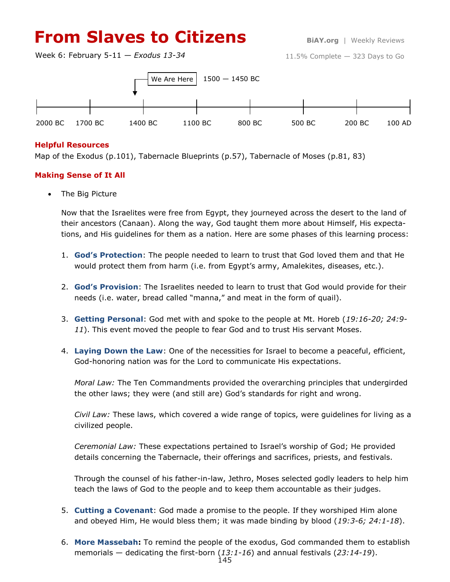# **From Slaves to Citizens BiAY.org** | Weekly Reviews

Week 6: February 5-11 — *Exodus 13-34*

11.5% Complete — 323 Days to Go



## **Helpful Resources**

Map of the Exodus (p.101), Tabernacle Blueprints (p.57), Tabernacle of Moses (p.81, 83)

## **Making Sense of It All**

The Big Picture

Now that the Israelites were free from Egypt, they journeyed across the desert to the land of their ancestors (Canaan). Along the way, God taught them more about Himself, His expectations, and His guidelines for them as a nation. Here are some phases of this learning process:

- 1. **God's Protection**: The people needed to learn to trust that God loved them and that He would protect them from harm (i.e. from Egypt's army, Amalekites, diseases, etc.).
- 2. **God's Provision**: The Israelites needed to learn to trust that God would provide for their needs (i.e. water, bread called "manna," and meat in the form of quail).
- 3. **Getting Personal**: God met with and spoke to the people at Mt. Horeb (*19:16-20; 24:9- 11*). This event moved the people to fear God and to trust His servant Moses.
- 4. **Laying Down the Law**: One of the necessities for Israel to become a peaceful, efficient, God-honoring nation was for the Lord to communicate His expectations.

*Moral Law:* The Ten Commandments provided the overarching principles that undergirded the other laws; they were (and still are) God's standards for right and wrong.

*Civil Law:* These laws, which covered a wide range of topics, were guidelines for living as a civilized people.

*Ceremonial Law:* These expectations pertained to Israel's worship of God; He provided details concerning the Tabernacle, their offerings and sacrifices, priests, and festivals.

Through the counsel of his father-in-law, Jethro, Moses selected godly leaders to help him teach the laws of God to the people and to keep them accountable as their judges.

- 5. **Cutting a Covenant**: God made a promise to the people. If they worshiped Him alone and obeyed Him, He would bless them; it was made binding by blood (*19:3-6; 24:1-18*).
- 6. **More Massebah:** To remind the people of the exodus, God commanded them to establish memorials — dedicating the first-born (*13:1-16*) and annual festivals (*23:14-19*).